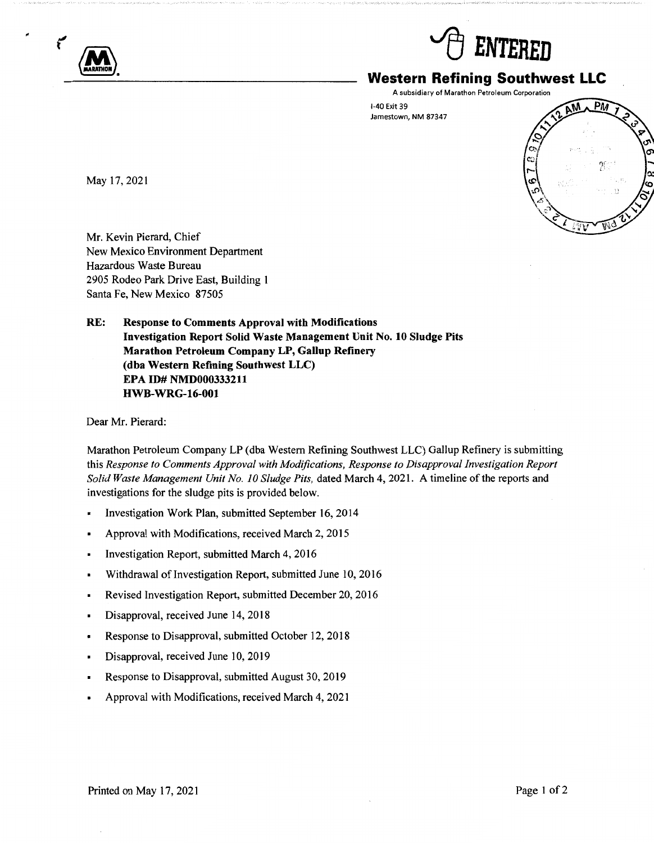



# **Western Refining Southwest LLC**

A subsidiary of Marathon Petroleum Corporation

1-40 Exit 39 Jamestown, NM 87347



May 17, 2021

Mr. Kevin Pierard, Chief New Mexico Environment Department Hazardous Waste Bureau 2905 Rodeo Park Drive East, Building **1**  Santa Fe, New Mexico 87505

**RE: Response to Comments Approval with Modifications Investigation Report Solid Waste Management Unit No. 10 Sludge Pits Marathon Petroleum Company LP, Gallup Refinery (dba Western Refining Southwest LLC) EPA ID# NMD000333211 HWB-WRG-16-001** 

Dear Mr. Pierard:

Marathon Petroleum Company LP (dba Western Refining Southwest LLC) Gallup Refinery is submitting this *Response to Comments Approval with Modifications, Response to Disapproval Investigation Report Solid Waste Management Unit No. 10 Sludge Pits, dated March 4, 2021. A timeline of the reports and* investigations for the sludge pits is provided below.

- Investigation Work Plan, submitted September 16, 2014
- Approval with Modifications, received March 2, 2015
- Investigation Report, submitted March 4, 2016
- Withdrawal of Investigation Report, submitted June 10, 2016  $\blacksquare$
- Revised Investigation Report, submitted December 20, 2016  $\blacksquare$
- Disapproval, received June 14, 2018
- Response to Disapproval, submitted October 12, 2018
- Disapproval, received June 10, 2019
- Response to Disapproval, submitted August 30, 2019
- Approval with Modifications, received March 4, 2021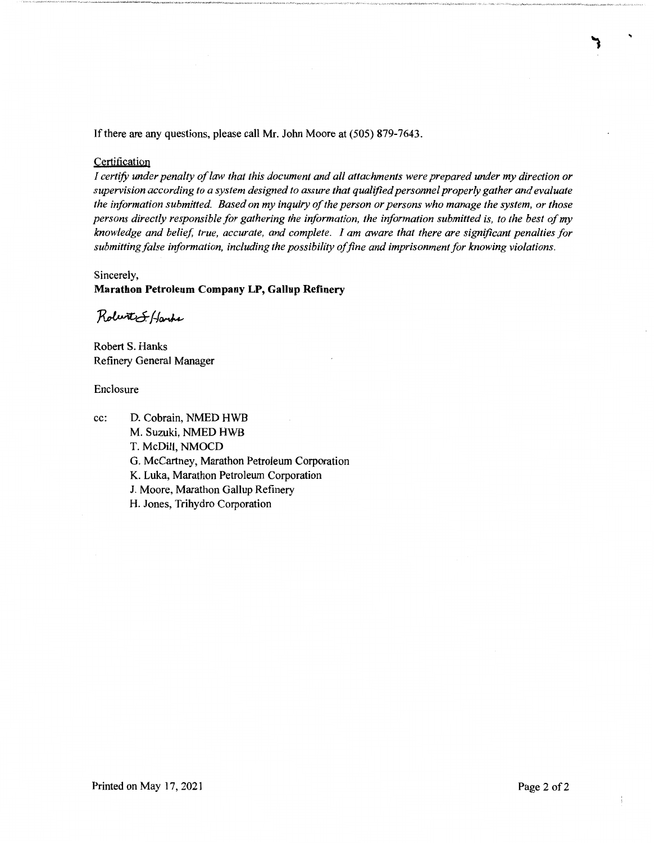If there are any questions, please call Mr. John Moore at (505) 879-7643.

#### **Certification**

*I certify under penalty of law that this document and all attachments were prepared under my direction or supervision according to a system designed to assure that qualified personnel properly gather and evaluate the information submitted. Based on my inquiry of the person or persons who manage the system, or those persons directly responsible for gathering the information, the information submitted is, to the best of my knowledge and belief true, accurate, and complete. I am aware that there are significant penalties for submitting false information, including the possibility of fine and imprisonment for knowing violations.* 

### Sincerely,

#### **Marathon Petroleum Company LP, Gallup Refinery**

Robert S. Hanks

Robert S. Hanks Refinery General Manager

#### Enclosure

cc: D. Cobrain, NMED HWB M. Suzuki, NMED HWB T. McDill, NMOCD G. McCartney, Marathon Petroleum Corporation K. Luka, Marathon Petroleum Corporation J. Moore, Marathon Gallup Refinery H. Jones, Trihydro Corporation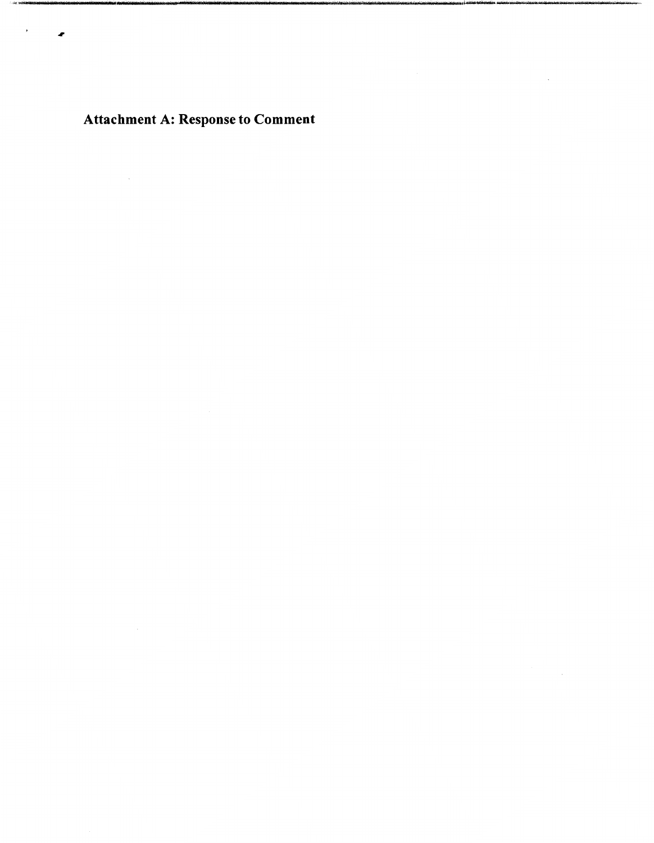Attachment A: Response to Comment

 $\mathcal{A}^{\text{max}}$ 

**SAKING** 

 $\rightarrow$ 

 $\bullet$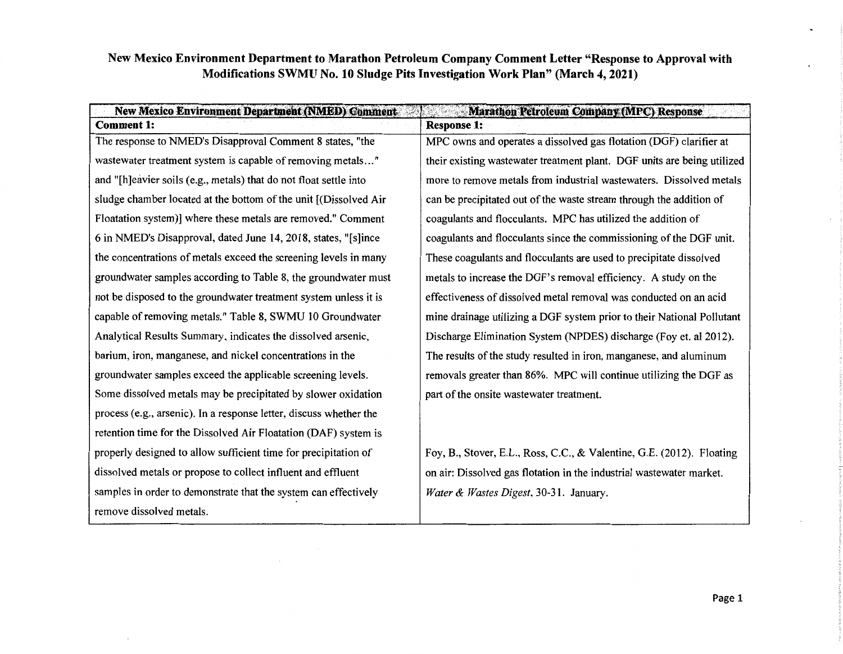| <b>New Mexico Environment Department (NMED) Comment-</b><br><b>Marathon Petroleum Company (MPC) Response</b> |                                                                         |
|--------------------------------------------------------------------------------------------------------------|-------------------------------------------------------------------------|
| <b>Comment 1:</b>                                                                                            | <b>Response 1:</b>                                                      |
| The response to NMED's Disapproval Comment 8 states, "the                                                    | MPC owns and operates a dissolved gas flotation (DGF) clarifier at      |
| wastewater treatment system is capable of removing metals"                                                   | their existing wastewater treatment plant. DGF units are being utilized |
| and "[h]eavier soils (e.g., metals) that do not float settle into                                            | more to remove metals from industrial wastewaters. Dissolved metals     |
| sludge chamber located at the bottom of the unit [(Dissolved Air                                             | can be precipitated out of the waste stream through the addition of     |
| Floatation system)] where these metals are removed." Comment                                                 | coagulants and flocculants. MPC has utilized the addition of            |
| 6 in NMED's Disapproval, dated June 14, 2018, states, "[s]ince                                               | coagulants and flocculants since the commissioning of the DGF unit.     |
| the concentrations of metals exceed the screening levels in many                                             | These coagulants and flocculants are used to precipitate dissolved      |
| groundwater samples according to Table 8, the groundwater must                                               | metals to increase the DGF's removal efficiency. A study on the         |
| not be disposed to the groundwater treatment system unless it is                                             | effectiveness of dissolved metal removal was conducted on an acid       |
| capable of removing metals." Table 8, SWMU 10 Groundwater                                                    | mine drainage utilizing a DGF system prior to their National Pollutant  |
| Analytical Results Summary, indicates the dissolved arsenic,                                                 | Discharge Elimination System (NPDES) discharge (Foy et. al 2012).       |
| barium, iron, manganese, and nickel concentrations in the                                                    | The results of the study resulted in iron, manganese, and aluminum      |
| groundwater samples exceed the applicable screening levels.                                                  | removals greater than 86%. MPC will continue utilizing the DGF as       |
| Some dissolved metals may be precipitated by slower oxidation                                                | part of the onsite wastewater treatment.                                |
| process (e.g., arsenic). In a response letter, discuss whether the                                           |                                                                         |
| retention time for the Dissolved Air Floatation (DAF) system is                                              |                                                                         |
| properly designed to allow sufficient time for precipitation of                                              | Foy, B., Stover, E.L., Ross, C.C., & Valentine, G.E. (2012). Floating   |
| dissolved metals or propose to collect influent and effluent                                                 | on air: Dissolved gas flotation in the industrial wastewater market.    |
| samples in order to demonstrate that the system can effectively                                              | Water & Wastes Digest, 30-31. January.                                  |
| remove dissolved metals.                                                                                     |                                                                         |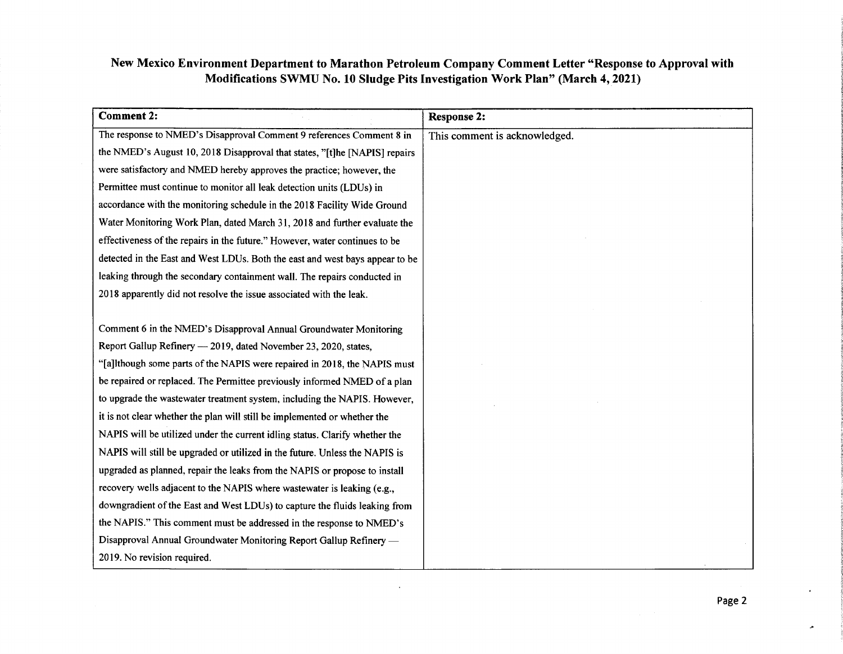| <b>Comment 2:</b>                                                            | <b>Response 2:</b>            |
|------------------------------------------------------------------------------|-------------------------------|
| The response to NMED's Disapproval Comment 9 references Comment 8 in         | This comment is acknowledged. |
| the NMED's August 10, 2018 Disapproval that states, "[t]he [NAPIS] repairs   |                               |
| were satisfactory and NMED hereby approves the practice; however, the        |                               |
| Permittee must continue to monitor all leak detection units (LDUs) in        |                               |
| accordance with the monitoring schedule in the 2018 Facility Wide Ground     |                               |
| Water Monitoring Work Plan, dated March 31, 2018 and further evaluate the    |                               |
| effectiveness of the repairs in the future." However, water continues to be  |                               |
| detected in the East and West LDUs. Both the east and west bays appear to be |                               |
| leaking through the secondary containment wall. The repairs conducted in     |                               |
| 2018 apparently did not resolve the issue associated with the leak.          |                               |
|                                                                              |                               |
| Comment 6 in the NMED's Disapproval Annual Groundwater Monitoring            |                               |
| Report Gallup Refinery - 2019, dated November 23, 2020, states,              |                               |
| "[a]lthough some parts of the NAPIS were repaired in 2018, the NAPIS must    |                               |
| be repaired or replaced. The Permittee previously informed NMED of a plan    |                               |
| to upgrade the wastewater treatment system, including the NAPIS. However,    |                               |
| it is not clear whether the plan will still be implemented or whether the    |                               |
| NAPIS will be utilized under the current idling status. Clarify whether the  |                               |
| NAPIS will still be upgraded or utilized in the future. Unless the NAPIS is  |                               |
| upgraded as planned, repair the leaks from the NAPIS or propose to install   |                               |
| recovery wells adjacent to the NAPIS where wastewater is leaking (e.g.,      |                               |
| downgradient of the East and West LDUs) to capture the fluids leaking from   |                               |
| the NAPIS." This comment must be addressed in the response to NMED's         |                               |
| Disapproval Annual Groundwater Monitoring Report Gallup Refinery —           |                               |
| 2019. No revision required.                                                  |                               |

 $\sim$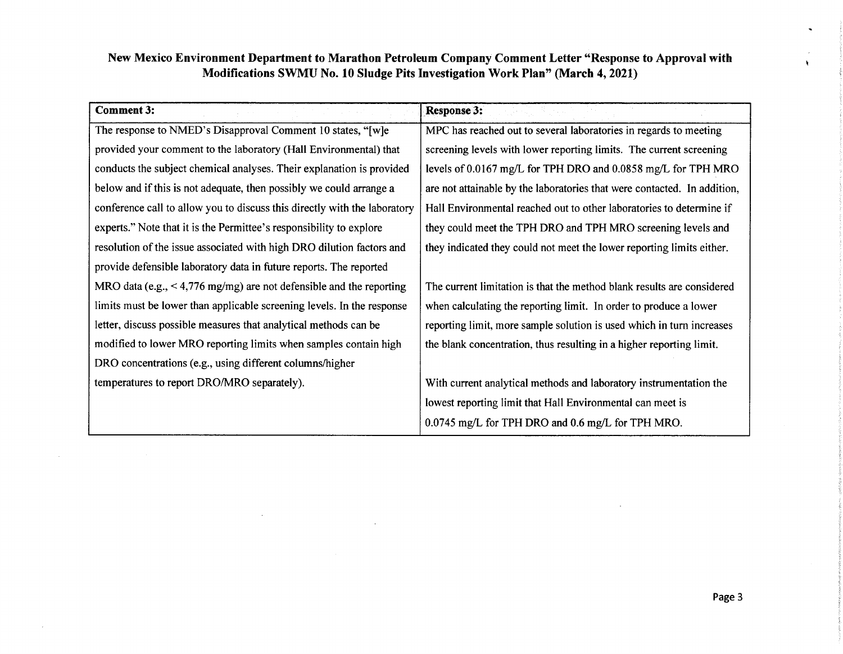| <b>Comment 3:</b>                                                         | <b>Response 3:</b>                                                       |
|---------------------------------------------------------------------------|--------------------------------------------------------------------------|
| The response to NMED's Disapproval Comment 10 states, "[w]e               | MPC has reached out to several laboratories in regards to meeting        |
| provided your comment to the laboratory (Hall Environmental) that         | screening levels with lower reporting limits. The current screening      |
| conducts the subject chemical analyses. Their explanation is provided     | levels of 0.0167 mg/L for TPH DRO and 0.0858 mg/L for TPH MRO            |
| below and if this is not adequate, then possibly we could arrange a       | are not attainable by the laboratories that were contacted. In addition, |
| conference call to allow you to discuss this directly with the laboratory | Hall Environmental reached out to other laboratories to determine if     |
| experts." Note that it is the Permittee's responsibility to explore       | they could meet the TPH DRO and TPH MRO screening levels and             |
| resolution of the issue associated with high DRO dilution factors and     | they indicated they could not meet the lower reporting limits either.    |
| provide defensible laboratory data in future reports. The reported        |                                                                          |
| MRO data (e.g., $\leq 4,776$ mg/mg) are not defensible and the reporting  | The current limitation is that the method blank results are considered   |
| limits must be lower than applicable screening levels. In the response    | when calculating the reporting limit. In order to produce a lower        |
| letter, discuss possible measures that analytical methods can be          | reporting limit, more sample solution is used which in turn increases    |
| modified to lower MRO reporting limits when samples contain high          | the blank concentration, thus resulting in a higher reporting limit.     |
| DRO concentrations (e.g., using different columns/higher                  |                                                                          |
| temperatures to report DRO/MRO separately).                               | With current analytical methods and laboratory instrumentation the       |
|                                                                           | lowest reporting limit that Hall Environmental can meet is               |
|                                                                           | 0.0745 mg/L for TPH DRO and 0.6 mg/L for TPH MRO.                        |

 $\sim$